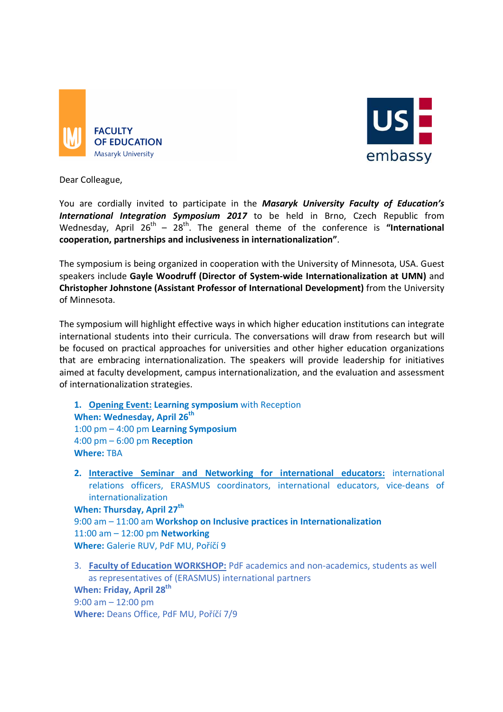



Dear Colleague,

You are cordially invited to participate in the *Masaryk University Faculty of Education's International Integration Symposium 2017* to be held in Brno, Czech Republic from Wednesday, April 26<sup>th</sup> – 28<sup>th</sup>. The general theme of the conference is "International **cooperation, partnerships and inclusiveness in internationalization"**.

The symposium is being organized in cooperation with the University of Minnesota, USA. Guest speakers include **Gayle Woodruff (Director of System-wide Internationalization at UMN)** and **Christopher Johnstone (Assistant Professor of International Development)** from the University of Minnesota.

The symposium will highlight effective ways in which higher education institutions can integrate international students into their curricula. The conversations will draw from research but will be focused on practical approaches for universities and other higher education organizations that are embracing internationalization. The speakers will provide leadership for initiatives aimed at faculty development, campus internationalization, and the evaluation and assessment of internationalization strategies.

**1. Opening Event: Learning symposium** with Reception **When: Wednesday, April 26th** 1:00 pm – 4:00 pm **Learning Symposium**  4:00 pm – 6:00 pm **Reception Where:** TBA

**2. Interactive Seminar and Networking for international educators:** international relations officers, ERASMUS coordinators, international educators, vice-deans of internationalization

**When: Thursday, April 27th**  9:00 am – 11:00 am **Workshop on Inclusive practices in Internationalization** 11:00 am – 12:00 pm **Networking Where:** Galerie RUV, PdF MU, Poříčí 9

3. **Faculty of Education WORKSHOP:** PdF academics and non-academics, students as well as representatives of (ERASMUS) international partners **When: Friday, April 28th** 9:00 am – 12:00 pm **Where:** Deans Office, PdF MU, Poříčí 7/9